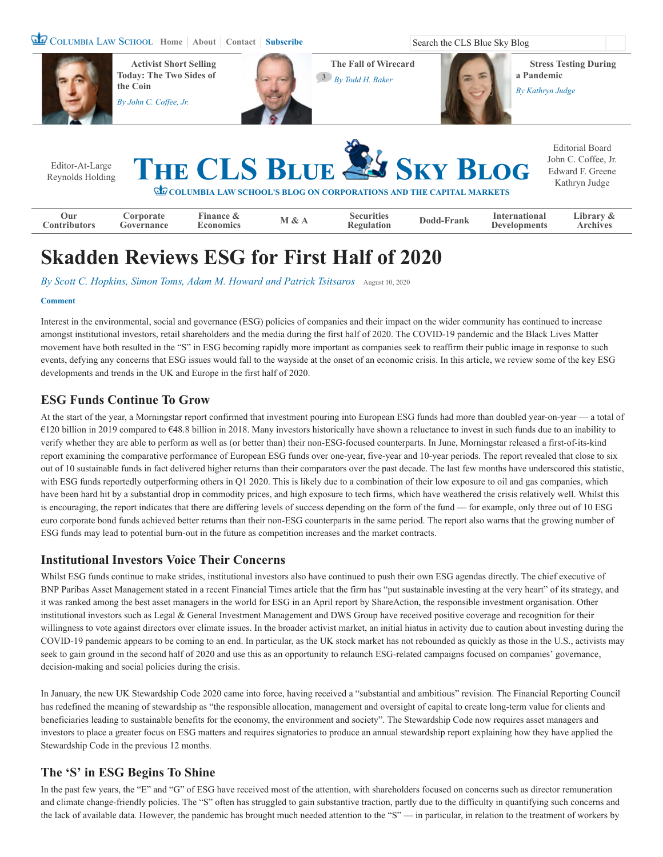COLUMBIA LAW SCHOOL [Home](https://clsbluesky.law.columbia.edu/) | [About](https://clsbluesky.law.columbia.edu/about-us/) | [Contact](https://clsbluesky.law.columbia.edu/submit/) | [Subscribe](https://clsbluesky.law.columbia.edu/newsletter-signup/) Search the CLS Blue Sky Blog



**Example 3 Example 3 Example 3 Example 3 Example 3 Example 3 Example 3 Example 3 Example 3 Example 3 Example 3 Example 3 Example 3 Example 3 Example 3 Example 3 Example 3 Example 3 Examp** 

**[Regulation](https://clsbluesky.law.columbia.edu/category/securities-regulation/) [Dodd-Frank](https://clsbluesky.law.columbia.edu/category/dodd-frank/) International**

**[Developments](https://clsbluesky.law.columbia.edu/category/international-developments/)**

**[Library &](https://clsbluesky.law.columbia.edu/library-archives/) Archives**

# **Skadden Reviews ESG for First Half of 2020**

By [Scott C. Hopkins, Simon Toms, Adam M. Howard and Patrick Tsitsaros](https://clsbluesky.law.columbia.edu/author/scott-c-hopkins-simon-toms-adam-m-howard-and-patrick-tsitsaros/) [August 10, 2020](https://clsbluesky.law.columbia.edu/2020/08/10/skadden-reviews-esg-for-first-half-of-2020/)

**Finance &**

#### **[Comment](#page-2-0)**

**Our [Contributors](https://clsbluesky.law.columbia.edu/editor-at-large-editorial-board/)**

Interest in the environmental, social and governance (ESG) policies of companies and their impact on the wider community has continued to increase amongst institutional investors, retail shareholders and the media during the first half of 2020. The COVID-19 pandemic and the Black Lives Matter movement have both resulted in the "S" in ESG becoming rapidly more important as companies seek to reaffirm their public image in response to such events, defying any concerns that ESG issues would fall to the wayside at the onset of an economic crisis. In this article, we review some of the key ESG developments and trends in the UK and Europe in the first half of 2020.

#### **ESG Funds Continue To Grow**

**Corporate [Governance](https://clsbluesky.law.columbia.edu/category/corporate-governance/)**

At the start of the year, a Morningstar report confirmed that investment pouring into European ESG funds had more than doubled year-on-year — a total of €120 billion in 2019 compared to €48.8 billion in 2018. Many investors historically have shown a reluctance to invest in such funds due to an inability to verify whether they are able to perform as well as (or better than) their non-ESG-focused counterparts. In June, Morningstar released a first-of-its-kind report examining the comparative performance of European ESG funds over one-year, five-year and 10-year periods. The report revealed that close to six out of 10 sustainable funds in fact delivered higher returns than their comparators over the past decade. The last few months have underscored this statistic, with ESG funds reportedly outperforming others in Q1 2020. This is likely due to a combination of their low exposure to oil and gas companies, which have been hard hit by a substantial drop in commodity prices, and high exposure to tech firms, which have weathered the crisis relatively well. Whilst this is encouraging, the report indicates that there are differing levels of success depending on the form of the fund — for example, only three out of 10 ESG euro corporate bond funds achieved better returns than their non-ESG counterparts in the same period. The report also warns that the growing number of ESG funds may lead to potential burn-out in the future as competition increases and the market contracts.

#### **Institutional Investors Voice Their Concerns**

Whilst ESG funds continue to make strides, institutional investors also have continued to push their own ESG agendas directly. The chief executive of BNP Paribas Asset Management stated in a recent Financial Times article that the firm has "put sustainable investing at the very heart" of its strategy, and it was ranked among the best asset managers in the world for ESG in an April report by ShareAction, the responsible investment organisation. Other institutional investors such as Legal & General Investment Management and DWS Group have received positive coverage and recognition for their willingness to vote against directors over climate issues. In the broader activist market, an initial hiatus in activity due to caution about investing during the COVID-19 pandemic appears to be coming to an end. In particular, as the UK stock market has not rebounded as quickly as those in the U.S., activists may seek to gain ground in the second half of 2020 and use this as an opportunity to relaunch ESG-related campaigns focused on companies' governance, decision-making and social policies during the crisis.

In January, the new UK Stewardship Code 2020 came into force, having received a "substantial and ambitious" revision. The Financial Reporting Council has redefined the meaning of stewardship as "the responsible allocation, management and oversight of capital to create long-term value for clients and beneficiaries leading to sustainable benefits for the economy, the environment and society". The Stewardship Code now requires asset managers and investors to place a greater focus on ESG matters and requires signatories to produce an annual stewardship report explaining how they have applied the Stewardship Code in the previous 12 months.

#### **The 'S' in ESG Begins To Shine**

In the past few years, the "E" and "G" of ESG have received most of the attention, with shareholders focused on concerns such as director remuneration and climate change-friendly policies. The "S" often has struggled to gain substantive traction, partly due to the difficulty in quantifying such concerns and the lack of available data. However, the pandemic has brought much needed attention to the "S" — in particular, in relation to the treatment of workers by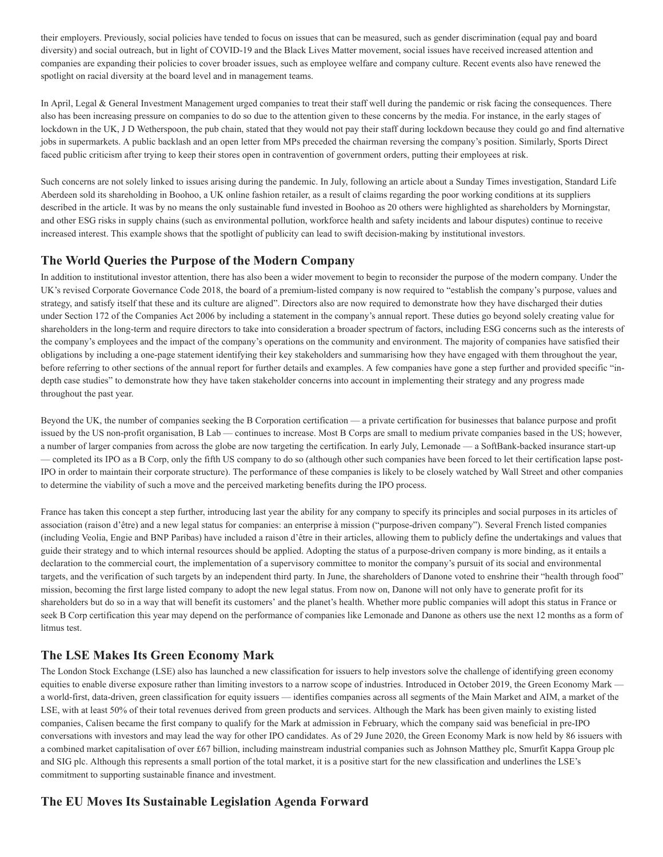their employers. Previously, social policies have tended to focus on issues that can be measured, such as gender discrimination (equal pay and board diversity) and social outreach, but in light of COVID-19 and the Black Lives Matter movement, social issues have received increased attention and companies are expanding their policies to cover broader issues, such as employee welfare and company culture. Recent events also have renewed the spotlight on racial diversity at the board level and in management teams.

In April, Legal & General Investment Management urged companies to treat their staff well during the pandemic or risk facing the consequences. There also has been increasing pressure on companies to do so due to the attention given to these concerns by the media. For instance, in the early stages of lockdown in the UK, J D Wetherspoon, the pub chain, stated that they would not pay their staff during lockdown because they could go and find alternative jobs in supermarkets. A public backlash and an open letter from MPs preceded the chairman reversing the company's position. Similarly, Sports Direct faced public criticism after trying to keep their stores open in contravention of government orders, putting their employees at risk.

Such concerns are not solely linked to issues arising during the pandemic. In July, following an article about a Sunday Times investigation, Standard Life Aberdeen sold its shareholding in Boohoo, a UK online fashion retailer, as a result of claims regarding the poor working conditions at its suppliers described in the article. It was by no means the only sustainable fund invested in Boohoo as 20 others were highlighted as shareholders by Morningstar, and other ESG risks in supply chains (such as environmental pollution, workforce health and safety incidents and labour disputes) continue to receive increased interest. This example shows that the spotlight of publicity can lead to swift decision-making by institutional investors.

### **The World Queries the Purpose of the Modern Company**

In addition to institutional investor attention, there has also been a wider movement to begin to reconsider the purpose of the modern company. Under the UK's revised Corporate Governance Code 2018, the board of a premium-listed company is now required to "establish the company's purpose, values and strategy, and satisfy itself that these and its culture are aligned". Directors also are now required to demonstrate how they have discharged their duties under Section 172 of the Companies Act 2006 by including a statement in the company's annual report. These duties go beyond solely creating value for shareholders in the long-term and require directors to take into consideration a broader spectrum of factors, including ESG concerns such as the interests of the company's employees and the impact of the company's operations on the community and environment. The majority of companies have satisfied their obligations by including a one-page statement identifying their key stakeholders and summarising how they have engaged with them throughout the year, before referring to other sections of the annual report for further details and examples. A few companies have gone a step further and provided specific "indepth case studies" to demonstrate how they have taken stakeholder concerns into account in implementing their strategy and any progress made throughout the past year.

Beyond the UK, the number of companies seeking the B Corporation certification — a private certification for businesses that balance purpose and profit issued by the US non-profit organisation, B Lab — continues to increase. Most B Corps are small to medium private companies based in the US; however, a number of larger companies from across the globe are now targeting the certification. In early July, Lemonade — a SoftBank-backed insurance start-up — completed its IPO as a B Corp, only the fifth US company to do so (although other such companies have been forced to let their certification lapse post-IPO in order to maintain their corporate structure). The performance of these companies is likely to be closely watched by Wall Street and other companies to determine the viability of such a move and the perceived marketing benefits during the IPO process.

France has taken this concept a step further, introducing last year the ability for any company to specify its principles and social purposes in its articles of association (raison d'être) and a new legal status for companies: an enterprise à mission ("purpose-driven company"). Several French listed companies (including Veolia, Engie and BNP Paribas) have included a raison d'être in their articles, allowing them to publicly define the undertakings and values that guide their strategy and to which internal resources should be applied. Adopting the status of a purpose-driven company is more binding, as it entails a declaration to the commercial court, the implementation of a supervisory committee to monitor the company's pursuit of its social and environmental targets, and the verification of such targets by an independent third party. In June, the shareholders of Danone voted to enshrine their "health through food" mission, becoming the first large listed company to adopt the new legal status. From now on, Danone will not only have to generate profit for its shareholders but do so in a way that will benefit its customers' and the planet's health. Whether more public companies will adopt this status in France or seek B Corp certification this year may depend on the performance of companies like Lemonade and Danone as others use the next 12 months as a form of litmus test.

## **The LSE Makes Its Green Economy Mark**

The London Stock Exchange (LSE) also has launched a new classification for issuers to help investors solve the challenge of identifying green economy equities to enable diverse exposure rather than limiting investors to a narrow scope of industries. Introduced in October 2019, the Green Economy Mark a world-first, data-driven, green classification for equity issuers — identifies companies across all segments of the Main Market and AIM, a market of the LSE, with at least 50% of their total revenues derived from green products and services. Although the Mark has been given mainly to existing listed companies, Calisen became the first company to qualify for the Mark at admission in February, which the company said was beneficial in pre-IPO conversations with investors and may lead the way for other IPO candidates. As of 29 June 2020, the Green Economy Mark is now held by 86 issuers with a combined market capitalisation of over £67 billion, including mainstream industrial companies such as Johnson Matthey plc, Smurfit Kappa Group plc and SIG plc. Although this represents a small portion of the total market, it is a positive start for the new classification and underlines the LSE's commitment to supporting sustainable finance and investment.

#### **The EU Moves Its Sustainable Legislation Agenda Forward**